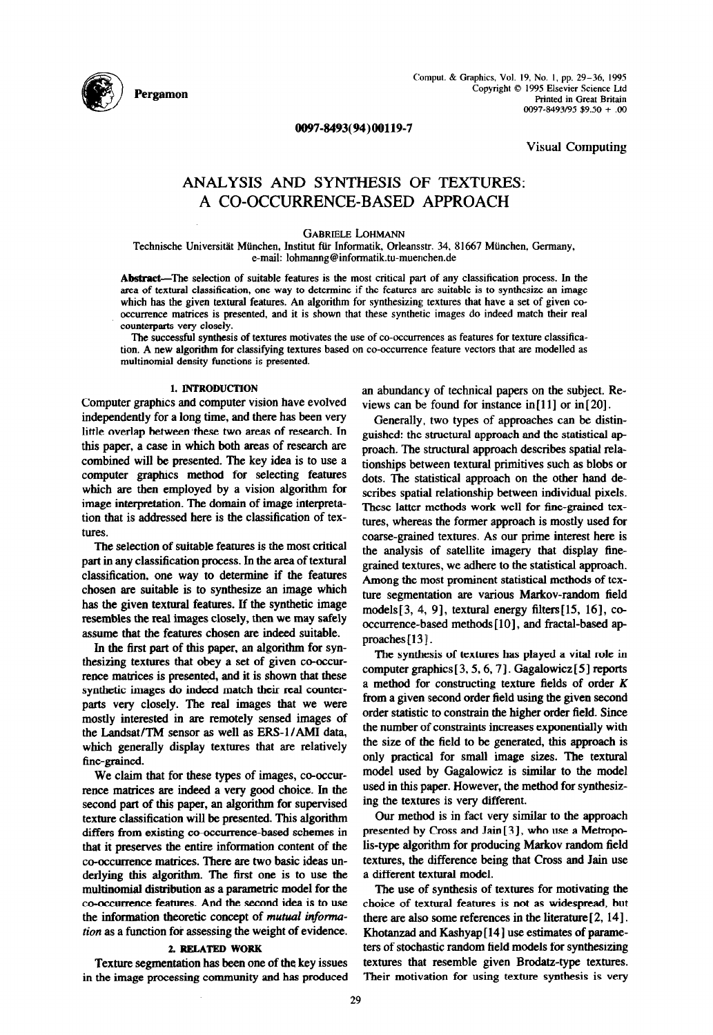

Cornput. & Graphics, Vol. 19, No. I, pp. 29-36, 1995 Copyright © 1995 Elsevier Science Ltd Printed in Great Britain 0097-8493/95 \$9.50 + .OO

0097~8493(94)00119-7

Visual Computing

# ANALYSIS AND SYNTHESIS OF TEXTURES: A CO-OCCURRENCE-BASED APPROACH

GABRIELE LOHMANN

Technische Universität München, Institut für Informatik, Orleansstr. 34, 81667 München, Germany, e-mail: lohmanng@informatik.tu-muenchen.de

Abstract-The selection of suitable features is the most critical part of any classification process. In the area of textural classification, one way to determine if the features are suitable is to synthesize an image which has the given textural features. An algorithm for synthesizing textures that have a set of given cooccurrence matrices is presented, and it is shown that these synthetic images do indeed match their real counterparts very closely.

The successful synthesis of textures motivates the use of co-occurrences as features for texture classification. A new algorithm for classifving textures based on co-occurrence feature vectors that are modelled as multinomial density functions is presented.

# 1. INTRODUCTION

Computer graphics and computer vision have evolved independently for a long time, and there has been very little overlap between these two areas of research. In this paper, a case in which both areas of research are combined will be presented. The key idea is to use a computer graphics method for selecting features which are then employed by a vision algorithm for image interpretation. The domain of image interpretation that is addressed here is the classification of textures.

The selection of suitable features is the most critical part in any classification process. In the area of textural classification, one way to determine if the features chosen are suitable is to synthesize an image which has the given textural features. If the synthetic image resembles the real images closely, then we may safely assume that the features chosen are indeed suitable.

In the first part of this paper, an algorithm for synthesizing textures that obey a set of given co-occurrence matrices is presented, and it is shown that these synthetic images do indeed match their real counterparts very closely. The real images that we were mostly interested in are remotely sensed images of the Landsat/TM sensor as well as ERS-1/AMI data, which generally display textures that are relatively fine-grained.

We claim that for these types of images, co-occurrence matrices are indeed a very good choice. In the second part of this paper, an algorithm for supervised texture classification will be presented. This algorithm differs from existing co-occurrence-based schemes in that it preserves the entire information content of the co-occurrence matrices. There are two basic ideas underlying this algorithm. The first one is to use the multinomial distribution as a parametric model for the co-occurrence features. And the second idea is to use the information theoretic concept of mutual information as a function for assessing the weight of evidence.

## 2. RELATED WORK

Texture segmentation has been one of the key issues in the image processing community and has produced an abundancy of technical papers on the subject. Reviews can be found for instance in $[11]$  or in $[20]$ .

Generally, two types of approaches can be distinguished: the structural approach and the statistical approach. The structural approach describes spatial relationships between textural primitives such as blobs or dots. The statistical approach on the other hand describes spatial relationship between individual pixels. These latter methods work well for fine-grained textures, whereas the former approach is mostly used for coarse-grained textures. As our prime interest here is the analysis of satellite imagery that display finegrained textures, we adhere to the statistical approach. Among the most prominent statistical methods of texture segmentation are various Markov-random field models $[3, 4, 9]$ , textural energy filters $[15, 16]$ , cooccurrence-based methods [10], and fractal-based approaches<sup>[13]</sup>.

The synthesis of textures has played a vital role in computer graphics  $[3, 5, 6, 7]$ . Gagalowicz  $[5]$  reports a method for constructing texture fields of order K from a given second order field using the given second order statistic to constrain the higher order field. Since the number of constraints increases exponentially with the size of the field to be generated, this approach is only practical for small image sizes. The textural model used by Gagalowicz is similar to the model used in this paper. However, the method for synthesizing the textures is very different.

Our method is in fact very similar to the approach presented by Cross and Jain[3], who use a Metropolis-type algorithm for producing Markov random field textures, the difference being that Cross and Jain use a different textural model.

The use of synthesis of textures for motivating tbe choice of textural features is not as widespread, but there are also some references in the literature [ 2,141. Khotanzad and Kashyap[l4] use estimates of parameters of stochastic random field models for synthesizing textures that resemble given Brodatz-type textures. Their motivation for using texture synthesis is very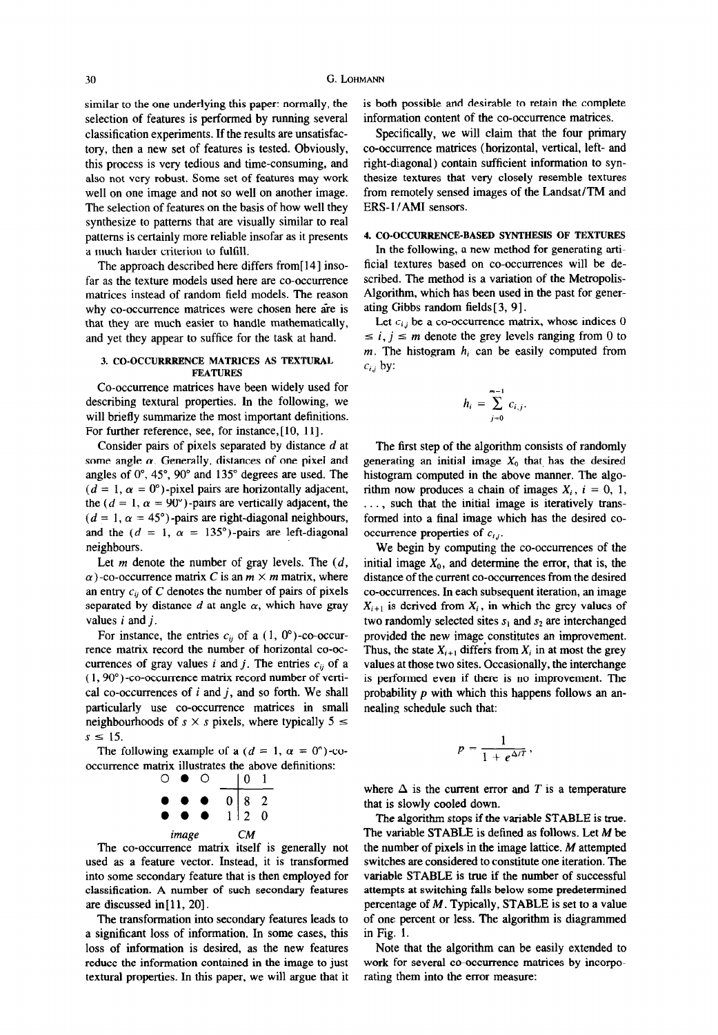similar to the one underlying this paper: normally, the selection of features is performed by running several classification experiments. If the results are unsatisfactory, then a new set of features is tested. Obviously, this process is very tedious and time-consuming, and also not very robust. Some set of features may work well on one image and not so well on another image. The selection of features on the basis of how well they synthesize to patterns that are visually similar to real patterns is certainly more reliable insofar as it presents a much harder criterion to fulfill

The approach described here differs from [14] insofar as the texture models used here are co-occurrence matrices instead of random field models. The reason why co-occurrence matrices were chosen here are is that they are much easier to handle mathematically, and yet they appear to suffice for the task at hand.

### 3. CO-OCCURRRENCE MATRICES AS TEXTURAL FEATURES

Co-occurrence matrices have been widely used for describing textural properties. In the following, we will briefly summarize the most important definitions. For further reference, see, for instance, [10, 11].

Consider pairs of pixels separated by distance d at some angle  $\alpha$ . Generally, distances of one pixel and angles of  $0^\circ$ , 45°, 90° and 135° degrees are used. The  $(d = 1, \alpha = 0^{\circ})$ -pixel pairs are horizontally adjacent, the ( $d = 1$ ,  $\alpha = 90^{\circ}$ )-pairs are vertically adjacent, the  $(d = 1, \alpha = 45^{\circ})$ -pairs are right-diagonal neighbours, and the ( $d = 1$ ,  $\alpha = 135^{\circ}$ )-pairs are left-diagonal neighbours.

Let  $m$  denote the number of gray levels. The  $(d,$ Let  $m$  denote the number of gray revers. The  $\langle u, \rangle$  $\alpha$  )-co-occurrence matrix c is an  $m \wedge m$  matrix, where an entry  $c_{ij}$  or  $C$  denotes the number of pairs of prices separateu vy u For instance, the entries c;, of  $(1, 00)$ , or occur-

For instance, the entries  $c_{ij}$  or a (1, 0)-co-occurrence matrix record the number of horizontal co-occurrences of gray values i and j. The entries  $c_{ij}$  of a  $(1, 90^\circ)$ -co-occurrence matrix record number of vertical co-occurrences of  $i$  and  $j$ , and so forth. We shall particularly use co-occurrence matrices in small neighbourhoods of  $s \times s$  pixels, where typically  $5 \le s \le 15$ .  $\leq$  1, (1, (Y  $\leq$  1,  $\leq$  O  $\leq$  O  $\leq$  O  $\leq$  O  $\leq$  O  $\leq$  O  $\leq$  O  $\leq$  O  $\leq$  O  $\leq$  O  $\leq$  O  $\leq$  O  $\leq$  O  $\leq$  O  $\leq$  O  $\leq$  O  $\leq$  O  $\leq$  O  $\leq$  O  $\leq$  O  $\leq$  O  $\leq$  O  $\leq$  O  $\leq$  O  $\leq$ 

The following example of a  $(a = 1, \alpha = 0)$ -co occurrence matrix illustrates the above definitions:<br>  $\begin{array}{ccc}\n\bigcirc & \bullet & \bigcirc & 1 \\
\end{array}$ 



The co-occurrence matrix itself is generally not used as a feature vector. Instead, it is transformed into some secondary feature that is then employed for classification. A number of such secondary features are discussed in  $[11, 20]$ .

The transformation into secondary features leads to a significant loss of information. In some cases, this loss of information is desired, as the new features reduce the information contained in the image to just textural properties. In this paper, we will argue that it is both possible and desirable to retain the complete information content of the co-occurrence matrices.

Specifically, we will claim that the four primary co-occurrence matrices (horizontal, vertical, left- and right-diagonal) contain sufficient information to synthesize textures that very closely resemble textures from remotely sensed images of the Landsat/TM and ERS-1 /AMI sensors.

# 4. CO-OCCURRENCE-BASED SYNTHESIS OF TEXTURES

In the following, a new method for generating artificial textures based on co-occurrences will be described. The method is a variation of the Metropolis-Algorithm, which has been used in the past for generating Gibbs random fields [ 3, 91.

Let  $c_{i,j}$  be a co-occurrence matrix, whose indices 0  $\leq i, j \leq m$  denote the grey levels ranging from 0 to  $m$ . The histogram  $h_i$  can be easily computed from  $c_{i,j}$  by:

$$
h_i = \sum_{j=0}^{m-1} c_{i,j}.
$$

The first step of the algorithm consists of randomly generating an initial image  $X_0$  that has the desired histogram computed in the above manner. The algorithm now produces a chain of images  $X_i$ ,  $i = 0, 1$ , ..., such that the initial image is iteratively transformed into a final image which has the desired cooccurrence properties of  $c_{i,j}$ .

We begin by computing the co-occurrences of the initial image  $X_0$ , and determine the error, that is, the distance of the current co-occurrences from the desired co-occurrences. In each subsequent iteration, an image  $X_i$  is derived from  $X_i$ , in which the grey values of  $t_{i+1}$  is derived from  $t_i$ , and which the grey values of two randomly selected sites  $s_1$  and  $s_2$  are interchanged provided the new image constitutes an improvement. Thus, the state  $X_{i+1}$  differs from  $X_i$  in at most the grey values at those two sites. Occasionally, the interchange is performed even if there is no improvement. The probability  $p$  with which this happens follows an annealing schedule such that:

$$
p=\frac{1}{1+e^{\Delta/T}}\,,
$$

where  $\mathcal{A}$  is a temperature error and T is a temperature error and T is a temperature error and T is a temperature experimental of  $\mathcal{A}$ where  $\Delta$  is the current error that is slowly cooled down.

The algorithm stops if the variable STABLE is true. The variable STABLE is defined as follows. Let  $M$  be the number of pixels in the image lattice.  $M$  attempted switches are considered to constitute one iteration. The variable STABLE is true if the number of successful attempts at switching falls below some predetermined percentage of  $M$ . Typically, STABLE is set to a value of one percent or less. The algorithm is diagrammed in Fig. 1.  $Fig. 1.$ 

Note that the algorithm can be easily extended to work for several co-occurrence matrices by incorporating them into the error measure: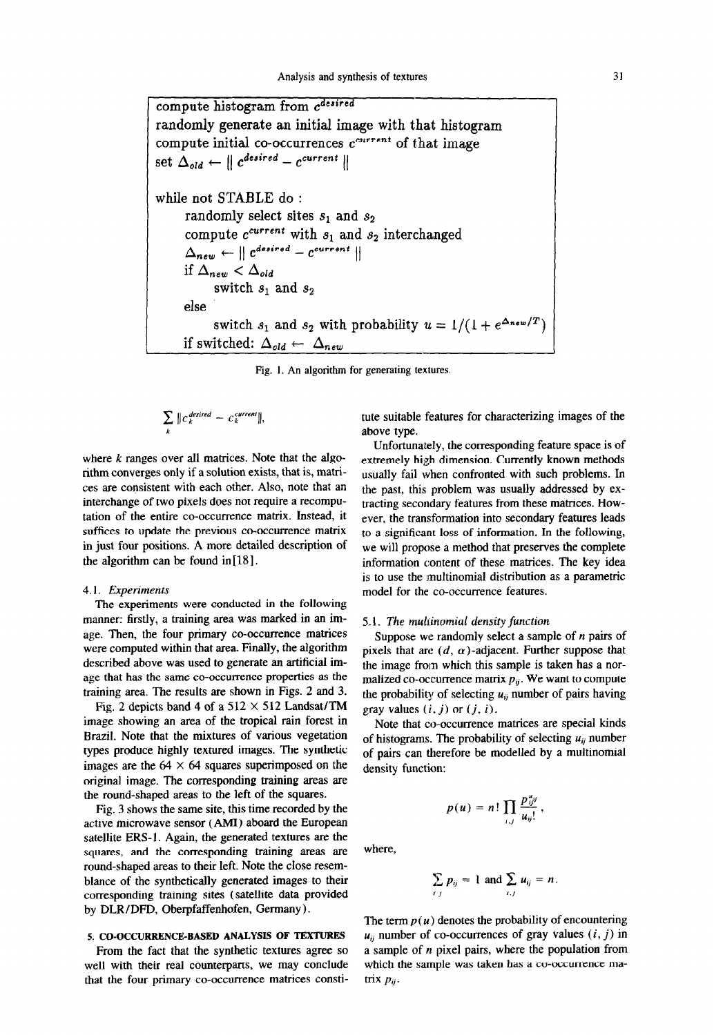compute histogram from c<sup>desired</sup> randomly generate an initial image with that histogram compute initial co-occurrences  $c^{current}$  of that image set  $\Delta_{old} \leftarrow ||$   $c^{desired} - c^{current} ||$ while not STABLE do : randomly select sites  $s_1$  and  $s_2$ compute  $c^{current}$  with  $s_1$  and  $s_2$  interchanged  $\Delta_{new} \leftarrow \parallel c^{desired} - c^{current} \parallel$ if  $\Delta_{new} < \Delta_{old}$ switch  $s_1$  and  $s_2$ else switch  $s_1$  and  $s_2$  with probability  $u = 1/(1 + e^{\Delta_{new}/T})$ if switched:  $\Delta_{old} \leftarrow \Delta_{new}$ 

Fig. 1. An algorithm for generating textures.

$$
\sum_{k} \| c_{k}^{\text{desired}} - c_{k}^{\text{current}} \|,
$$

where  $k$  ranges over all matrices. Note that the algorithm converges only if a solution exists, that is, matrices are consistent with each other. Also, note that an interchange of two pixels does not require a recomputation of the entire co-occurrence matrix. Instead, it suffices to update the previous co-occurrence matrix in just four positions. A more detailed description of the algorithm can be found in  $[18]$ .

#### 4.1. Experiments

The experiments were conducted in the following manner: firstly, a training area was marked in an image. Then, the four primary co-occurrence matrices were computed within that area. Finally, the algorithm described above was used to generate an artificial image that has the same co-occurrence properties as the training area. The results are shown in Figs. 2 and 3.

Fig. 2 depicts band 4 of a  $512 \times 512$  Landsat/TM image showing an area of the tropical rain forest in Brazil. Note that the mixtures of various vegetation types produce highly textured images. The synthetic images are the  $64 \times 64$  squares superimposed on the original image. The corresponding training areas are the round-shaped areas to the left of the squares.

Fig. 3 shows the same site, this time recorded by the active microwave sensor (AMI) aboard the European satellite ERS-1. Again, the generated textures are the squares, and the corresponding training areas are round-shaped areas to their left. Note the close resemblance of the synthetically generated images to their corresponding training sites (satellite data provided by DLR/DFD, Oberpfaffenhofen, Germany).

#### 5. CO-OCCURRENCE-BASED ANALYSIS OF TEXTURES

From the fact that the synthetic textures agree so well with their real counterparts, we may conclude that the four primary co-occurrence matrices constitute suitable features for characterizing images of the above type.

Unfortunately, the corresponding feature space is of extremely high dimension. Currently known methods usually fail when confronted with such problems. In the past, this problem was usually addressed by extracting secondary features from these matrices. However, the transformation into secondary features leads to a significant loss of information. In the following, we will propose a method that preserves the complete information content of these matrices. The key idea is to use the multinomial distribution as a parametric model for the co-occurrence features.

#### 5.1. The mulrinomial density function

Suppose we randomly select a sample of  $n$  pairs of pixels that are  $(d, \alpha)$ -adjacent. Further suppose that the image from which this sample is taken has a normalized co-occurrence matrix  $p_{ij}$ . We want to compute the probability of selecting  $u_{ij}$  number of pairs having gray values  $(i, j)$  or  $(j, i)$ .

Note that co-occurrence matrices are special kinds of histograms. The probability of selecting  $u_{ij}$  number of pairs can therefore be modelled by a multinomial density function:

$$
p(u) = n! \prod_{i,j} \frac{p_{ij}^{u_{ij}}}{u_{ij}!},
$$

where.

$$
\sum_{i,j} p_{ij} = 1 \text{ and } \sum_{i,j} u_{ij} = n.
$$

The term  $p(u)$  denotes the probability of encountering  $u_{ii}$  number of co-occurrences of gray values  $(i, j)$  in a sample of  $n$  pixel pairs, where the population from where  $\alpha$  is place pulled where  $\alpha$  is population from winch t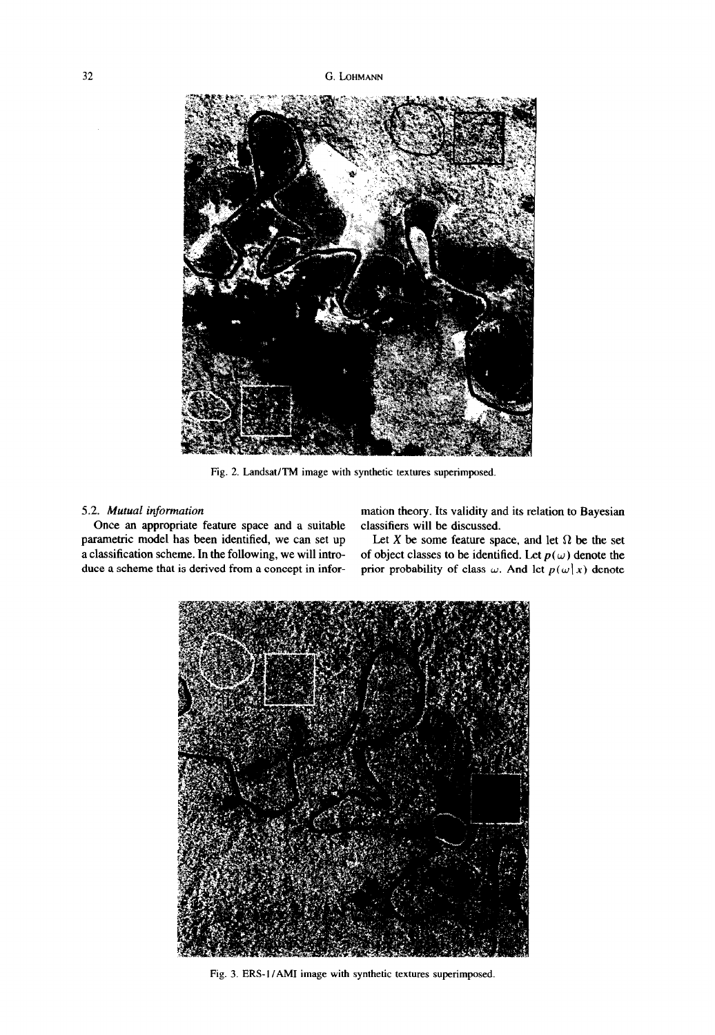

Fig. 2. Landsat/TM image with synthetic textures superimposed.

Once an appropriate feature space and a suitable classifiers will be discussed. parametric model has been identified, we can set up a classification scheme. In the following, we will introduce a scheme that is derived from a concept in infor-

5.2. Mutual information example in the mation theory. Its validity and its relation to Bayesian

Let X be some feature space, and let  $\Omega$  be the set of object classes to be identified. Let  $p(\omega)$  denote the prior probability of class  $\omega$ . And let  $p(\omega | x)$  denote



Fig. 3. ERS-I /AM1 image with synthetic textures superimposed.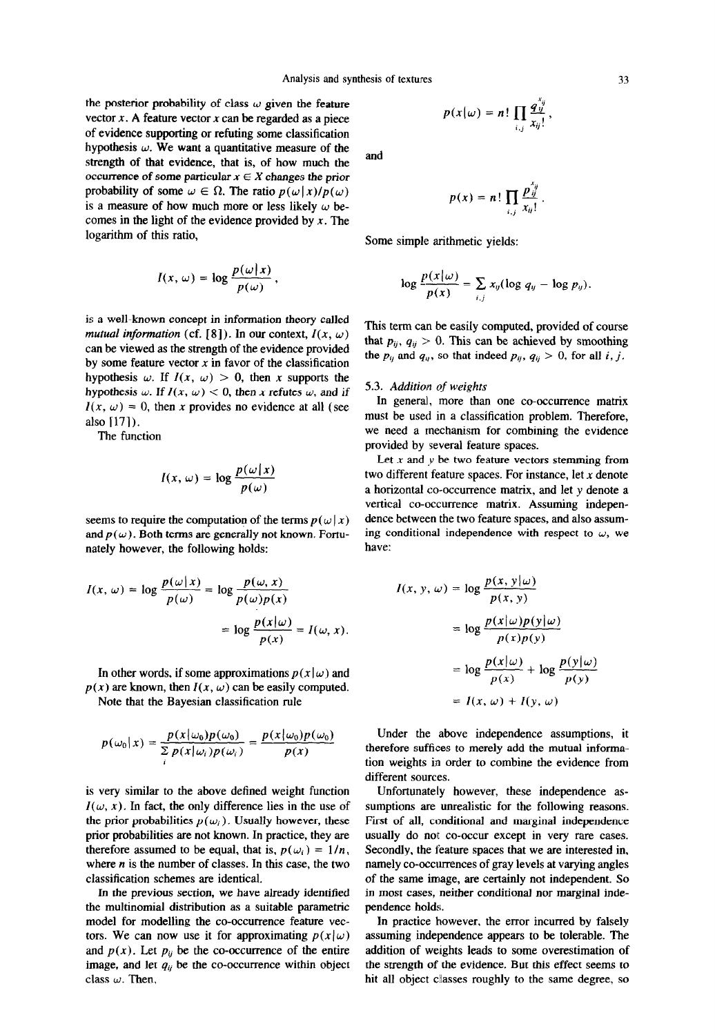the posterior probability of class  $\omega$  given the feature vector  $x$ . A feature vector  $x$  can be regarded as a piece of evidence supporting or refuting some classification hypothesis  $\omega$ . We want a quantitative measure of the strength of that evidence, that is, of how much the occurrence of some particular  $x \in X$  changes the prior probability of some  $\omega \in \Omega$ . The ratio  $p(\omega | x)/p(\omega)$ is a measure of how much more or less likely  $\omega$  becomes in the light of the evidence provided by  $x$ . The logarithm of this ratio,

$$
I(x, \omega) = \log \frac{p(\omega | x)}{p(\omega)},
$$

is a well-known concept in information theory called mutual information (cf. [8]). In our context,  $I(x, \omega)$ can be viewed as the strength of the evidence provided by some feature vector  $x$  in favor of the classification hypothesis  $\omega$ . If  $I(x, \omega) > 0$ , then x supports the hypothesis w. If  $I(x, \omega) < 0$ , then x refutes w, and if  $I(x, \omega) = 0$ , then x provides no evidence at all (see also 1171).

The function

$$
I(x, \omega) = \log \frac{p(\omega | x)}{p(\omega)}
$$

seems to require the computation of the terms  $p(\omega | x)$ and  $p(\omega)$ . Both terms are generally not known. Fortunately however, the following holds:

$$
I(x, \omega) = \log \frac{p(\omega | x)}{p(\omega)} = \log \frac{p(\omega, x)}{p(\omega)p(x)}
$$

$$
= \log \frac{p(x | \omega)}{p(x)} = I(\omega, x).
$$

In other words, if some approximations  $p(x|\omega)$  and  $p(x)$  are known, then  $I(x, \omega)$  can be easily computed.

Note that the Bayesian classification rule

$$
p(\omega_0|x) = \frac{p(x|\omega_0)p(\omega_0)}{\sum p(x|\omega_i)p(\omega_i)} = \frac{p(x|\omega_0)p(\omega_0)}{p(x)}
$$

is very similar to the above defined weight function  $U(x, y)$ . In fact, the only difference lies in the use of  $t(w, x)$ . In fact, the only unference hes in the ase of the prior probabilities  $p(\omega_i)$ . Usually however, these prior probabilities are not known. In practice, they are therefore assumed to be equal, that is,  $p(\omega_i) = 1/n$ , where  $n$  is the number of classes. In this case, the two classification schemes are identical.  $\frac{1}{2}$  is sincluded schemes are identical.

In the previous section, we have already identified the multinomial distribution as a suitable parametric model for modelling the co-occurrence feature vectors. We can now use it for approximating  $p(x|\omega)$ and  $p(x)$ . Let  $p_{ij}$  be the co-occurrence of the entire image, and let  $q_{ij}$  be the co-occurrence within object class  $\omega$ . Then,

$$
p(x|\omega) = n! \prod_{i,j} \frac{q_{ij}^{x_{ij}}}{x_{ij}!},
$$

and

$$
p(x) = n! \prod_{i,j} \frac{p_{ij}^{x_{ij}}}{x_{ij}!}.
$$

Some simple arithmetic yields:

$$
\log \frac{p(x|\omega)}{p(x)} = \sum_{i,j} x_{ij} (\log q_{ij} - \log p_{ij}).
$$

This term can be easily computed, provided of course that  $p_{ij}$ ,  $q_{ij} > 0$ . This can be achieved by smoothing the  $p_{ij}$  and  $q_{ij}$ , so that indeed  $p_{ij}$ ,  $q_{ij} > 0$ , for all i, j.

#### 5.3. Addition of weights

In general, more than one co-occurrence matrix must be used in a classification problem. Therefore, we need a mechanism for combining the evidence provided by several feature spaces.

Let  $x$  and  $y$  be two feature vectors stemming from two different feature spaces. For instance, let  $x$  denote a horizontal co-occurrence matrix, and let y denote a vertical co-occurrence matrix. Assuming independence between the two feature spaces, and also assuming conditional independence with respect to  $\omega$ , we have:

$$
I(x, y, \omega) = \log \frac{p(x, y | \omega)}{p(x, y)}
$$
  
= 
$$
\log \frac{p(x | \omega)p(y | \omega)}{p(x)p(y)}
$$
  
= 
$$
\log \frac{p(x | \omega)}{p(x)} + \log \frac{p(y | \omega)}{p(y)}
$$
  
= 
$$
I(x, \omega) + I(y, \omega)
$$

Under the above independence assumptions, it therefore suffices to merely add the mutual information weights in order to combine the evidence from tion weights in order to combine the evidence from<br>different sources.

Unfortunately however, these independence as-Enfortunately however, these independence as- $F_{\rm{tot}}$  of  $F_{\rm{tot}}$  and marginal independence independent independent independent independent in the state of  $F_{\rm{tot}}$ First of all, conditional and marginal independence usually do not co-occur except in very rare cases. Secondly, the feature spaces that we are interested in, namely co-occurrences of gray levels at varying angles of the same image, are certainly not independent. So in most cases, neither conditional nor marginal independence holds. ndence holds.<br>The error includes the error includes the error includes the error includes the error includes the error includes the error include the entries of the entries of the entries of the entries of the entries of t

In practice nowever, the error incurred by faisely assuming independence appears to be tolerable. The addition of weights leads to some overestimation of the strength of the evidence. But this effect seems to hit all object classes roughly to the same degree, so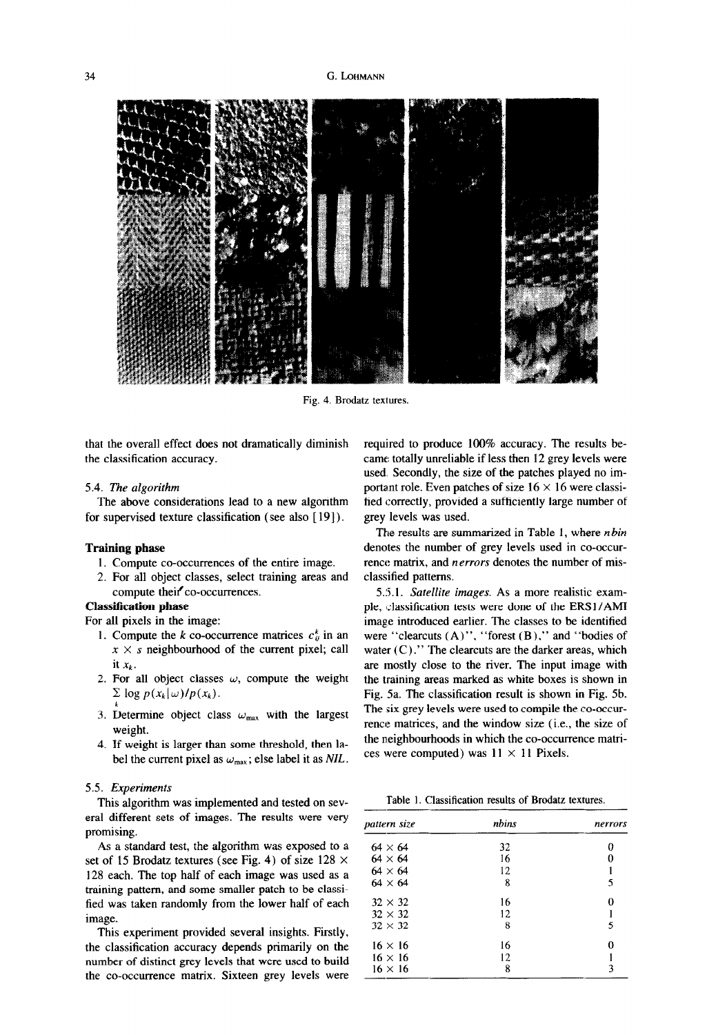#### 34 G. LOHMANN



Fig. 4. Brodatz textures.

that the overall effect does not dramatically diminish the classification accuracy.

#### 5.4. The algorithm

The above considerations lead to a new algorithm for supervised texture classification (see also [19]).

# Training phase

- 1. Compute co-occurrences of the entire image.
- 2. For all object classes, select training areas and compute their co-occurrences.

# Classification phase

For all pixels in the image:

- 1. Compute the k co-occurrence matrices  $c_{ii}^k$  in an  $x \times s$  neighbourhood of the current pixel; call it  $x_k$ .
- 2. For all object classes  $\omega$ , compute the weight  $\sum$  log  $p(x_k|\omega)/p(x_k)$ .
- 3. Determine object class  $\omega_{\text{max}}$  with the largest weight.
- 4. If weight is larger than some threshold, then label the current pixel as  $\omega_{\text{max}}$ ; else label it as NIL.

#### 5.5. Experiments

This algorithm was implemented and tested on several different sets of images. The results were very promising.

As a standard test, the algorithm was exposed to a set of 15 Brodatz textures (see Fig. 4) of size  $128 \times$ 128 each. The top half of each image was used as a training pattern, and some smaller patch to be classified was taken randomly from the lower half of each image.

This experiment provided several insights. Firstly, the capacities provided because indigended accupation number of distinct green distinct green that we use that we used the use of the use of the use of the use of the number of distinct grey levels that were used to build<br>the co-occurrence matrix. Sixteen grey levels were required to produce 100% accuracy. The results became totally unreliable if less then 12 grey levels were used. Secondly, the size of the patches played no important role. Even patches of size  $16 \times 16$  were classified correctly, provided a sufficiently large number of grey levels was used.

The results are summarized in Table 1, where  $n bin$ denotes the number of grey levels used in co-occurrence matrix, and nerrors denotes the number of misclassified patterns.

55.1. Satellite images. As a more realistic example, classification tests were done of the ERS1/AMI image introduced earlier. The classes to be identified were "clearcuts (A)", "forest (B)," and "bodies of water  $(C)$ ." The clearcuts are the darker areas, which are mostly close to the river. The input image with the training areas marked as white boxes is shown in Fig. 5a. The classification result is shown in Fig. 5b. The six grey levels were used to compile the co-occurrence matrices, and the window size (i.e., the size of the neighbourhoods in which the co-occurrence matrices were computed) was  $11 \times 11$  Pixels.

Table 1. Classification results of Brodatz textures.

| pattern size   | nbins | nerrors |
|----------------|-------|---------|
| $64 \times 64$ | 32    | o       |
| $64 \times 64$ | 16    | 0       |
| $64 \times 64$ | 12    |         |
| $64 \times 64$ | 8     | 5       |
| $32 \times 32$ | 16    | 0       |
| $32 \times 32$ | 12    |         |
| $32 \times 32$ | 8     | 5       |
| $16 \times 16$ | 16    | 0       |
| $16 \times 16$ | 12    |         |
| $16 \times 16$ | 8     | 3       |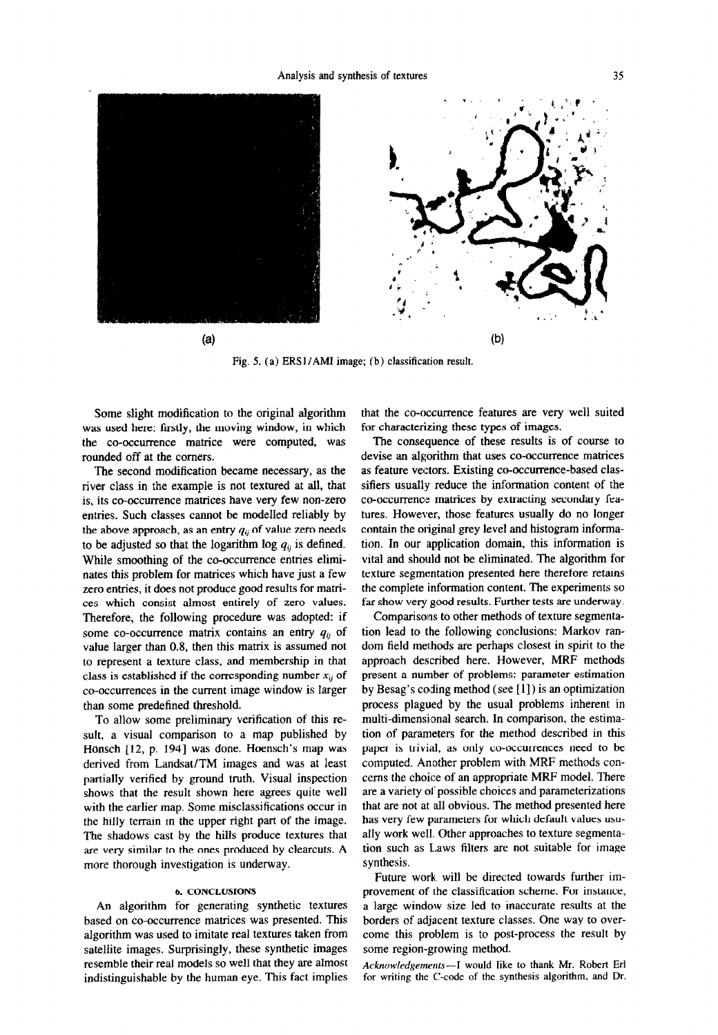

Fig. 5. (a) ERS1/AMI image; (b) classification result.

Some slight modification to the original algorithm was used here: firstly, the moving window, in which the co-occurrence matrice were computed, was rounded off at the comers.

The second modification became necessary, as the river class in the example is not textured at all, that is, its co-occurrence matrices have very few non-zero entries. Such classes cannot be modelled reliably by the above approach, as an entry  $q_{ii}$  of value zero needs to be adjusted so that the logarithm log  $q_{ij}$  is defined. While smoothing of the co-occurrence entries eliminates this problem for matrices which have just a few zero entries, it does not produce good results for matrices which consist almost entirely of zero values. Therefore, the following procedure was adopted: if some co-occurrence matrix contains an entry  $q_{ii}$  of value larger than 0.8, then this matrix is assumed not to represent a texture class, and membership in that class is established if the corresponding number  $x_{ij}$  of co-occurrences in the current image window is larger than some predefined threshold.

To allow some preliminary verification of this result, a visual comparison to a map published by Hönsch [12, p. 194] was done. Hoensch's map was derived from Landsat/TM images and was at least partially verified by ground truth. Visual inspection shows that the result shown here agrees quite well with the earlier map. Some misclassifications occur in the hilly terrain in the upper right part of the image. The shadows cast by the hills produce textures that are very similar to the ones produced by clearcuts. A more thorough investigation is underway.

### 6. CONCLUSIONS

An algorithm for generating synthetic textures based on co-occurrence matrices was presented. This algorithm was used to imitate real textures taken from satellite images. Surprisingly, these synthetic images resemble their real models so well that they are almost indistinguishable by the human eye. This fact implies that the co-occurrence features are very well suited for characterizing these types of images.

The consequence of these results is of course to devise an algorithm that uses co-occurrence matrices as feature vectors, Existing co-occurrence-based classifiers usually reduce the information content of the co-occurrence matrices by extracting secondary features. However, those features usually do no longer contain the original grey level and histogram information. In our application domain, this information is vital and should not be eliminated. The algorithm for texture segmentation presented here therefore retains the complete information content. The experiments so far show very good results. Further tests are underway.

Comparisons to other methods of texture segmentation lead to the following conclusions: Markov random field methods are perhaps closest in spirit to the approach described here. However, MRF methods present a number of problems: parameter estimation by Besag's cotding method (see [ 1] ) is an optimization process plagued by the usual problems inherent in multi-dimensional search. In comparison, the estimation of parameters for the method described in this paper is trivial, as only co-occurrences need to be computed. Another problem with MRF methods concerns the choice of an appropriate MRF model. There are a variety of possible choices and parameterizations that are not at all obvious. The method presented here has very few parameters for which default values usually work well. Other approaches to texture segmentation such as L,aws filters are not suitable for image synthesis.

Future work. will be directed towards further improvement of the classification scheme. For instance, a large window size led to inaccurate results at the borders of adjacent texture classes. One way to overcome this problem is to post-process the result by some region-growing method.

Acknowledgements--I would like to thank Mr. Robert Erl Acknowledgements—I would like to thank MI. KODER ETI<br>for writing the C-code of the synthesis algorithm, and Dr.